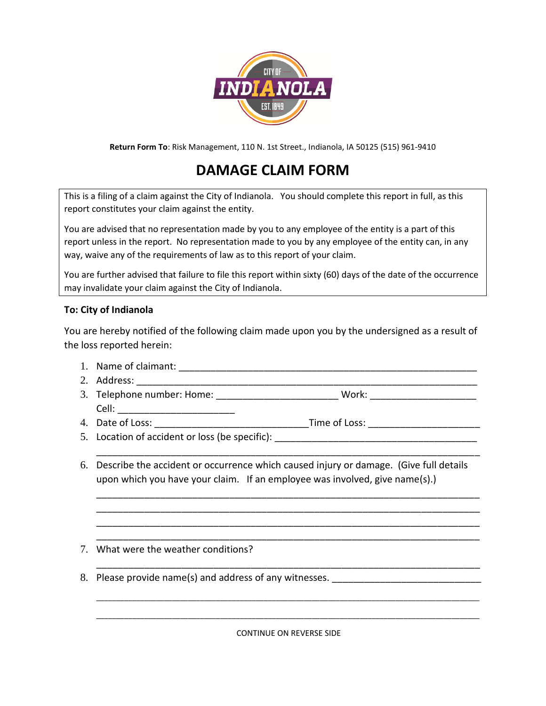

**Return Form To**: Risk Management, 110 N. 1st Street., Indianola, IA 50125 (515) 961-9410

## **DAMAGE CLAIM FORM**

This is a filing of a claim against the City of Indianola. You should complete this report in full, as this report constitutes your claim against the entity.

You are advised that no representation made by you to any employee of the entity is a part of this report unless in the report. No representation made to you by any employee of the entity can, in any way, waive any of the requirements of law as to this report of your claim.

You are further advised that failure to file this report within sixty (60) days of the date of the occurrence may invalidate your claim against the City of Indianola.

## **To: City of Indianola**

You are hereby notified of the following claim made upon you by the undersigned as a result of the loss reported herein:

- 1. Name of claimant: \_\_\_\_\_\_\_\_\_\_\_\_\_\_\_\_\_\_\_\_\_\_\_\_\_\_\_\_\_\_\_\_\_\_\_\_\_\_\_\_\_\_\_\_\_\_\_\_\_\_\_\_\_\_\_\_
- 2. Address: \_\_\_\_\_\_\_\_\_\_\_\_\_\_\_\_\_\_\_\_\_\_\_\_\_\_\_\_\_\_\_\_\_\_\_\_\_\_\_\_\_\_\_\_\_\_\_\_\_\_\_\_\_\_\_\_\_\_\_\_\_\_\_\_
- 3. Telephone number: Home: \_\_\_\_\_\_\_\_\_\_\_\_\_\_\_\_\_\_\_\_\_\_\_\_\_\_\_\_ Work: \_\_\_\_\_\_\_\_\_\_\_\_\_\_\_\_\_\_ Cell: \_\_\_\_\_\_\_\_\_\_\_\_\_\_\_\_\_\_\_\_\_\_ 4. Date of Loss: \_\_\_\_\_\_\_\_\_\_\_\_\_\_\_\_\_\_\_\_\_\_\_\_\_\_\_\_\_Time of Loss: \_\_\_\_\_\_\_\_\_\_\_\_\_\_\_\_\_\_\_\_\_
- 
- 
- 5. Location of accident or loss (be specific):
- 6. Describe the accident or occurrence which caused injury or damage. (Give full details upon which you have your claim. If an employee was involved, give name(s).)

\_\_\_\_\_\_\_\_\_\_\_\_\_\_\_\_\_\_\_\_\_\_\_\_\_\_\_\_\_\_\_\_\_\_\_\_\_\_\_\_\_\_\_\_\_\_\_\_\_\_\_\_\_\_\_\_\_\_\_\_\_\_\_\_\_\_\_\_\_\_\_\_

\_\_\_\_\_\_\_\_\_\_\_\_\_\_\_\_\_\_\_\_\_\_\_\_\_\_\_\_\_\_\_\_\_\_\_\_\_\_\_\_\_\_\_\_\_\_\_\_\_\_\_\_\_\_\_\_\_\_\_\_\_\_\_\_\_\_\_\_\_\_\_\_ \_\_\_\_\_\_\_\_\_\_\_\_\_\_\_\_\_\_\_\_\_\_\_\_\_\_\_\_\_\_\_\_\_\_\_\_\_\_\_\_\_\_\_\_\_\_\_\_\_\_\_\_\_\_\_\_\_\_\_\_\_\_\_\_\_\_\_\_\_\_\_\_ \_\_\_\_\_\_\_\_\_\_\_\_\_\_\_\_\_\_\_\_\_\_\_\_\_\_\_\_\_\_\_\_\_\_\_\_\_\_\_\_\_\_\_\_\_\_\_\_\_\_\_\_\_\_\_\_\_\_\_\_\_\_\_\_\_\_\_\_\_\_\_\_ \_\_\_\_\_\_\_\_\_\_\_\_\_\_\_\_\_\_\_\_\_\_\_\_\_\_\_\_\_\_\_\_\_\_\_\_\_\_\_\_\_\_\_\_\_\_\_\_\_\_\_\_\_\_\_\_\_\_\_\_\_\_\_\_\_\_\_\_\_\_\_\_

\_\_\_\_\_\_\_\_\_\_\_\_\_\_\_\_\_\_\_\_\_\_\_\_\_\_\_\_\_\_\_\_\_\_\_\_\_\_\_\_\_\_\_\_\_\_\_\_\_\_\_\_\_\_\_\_\_\_\_\_\_\_\_\_\_\_\_\_\_\_\_\_

\_\_\_\_\_\_\_\_\_\_\_\_\_\_\_\_\_\_\_\_\_\_\_\_\_\_\_\_\_\_\_\_\_\_\_\_\_\_\_\_\_\_\_\_\_\_\_\_\_\_\_\_\_\_\_\_\_\_\_\_\_\_\_\_\_\_\_\_\_\_\_\_\_\_\_\_\_\_\_\_\_\_\_\_\_\_\_\_\_\_\_\_\_\_\_\_

- 7. What were the weather conditions?
- 8. Please provide name(s) and address of any witnesses.